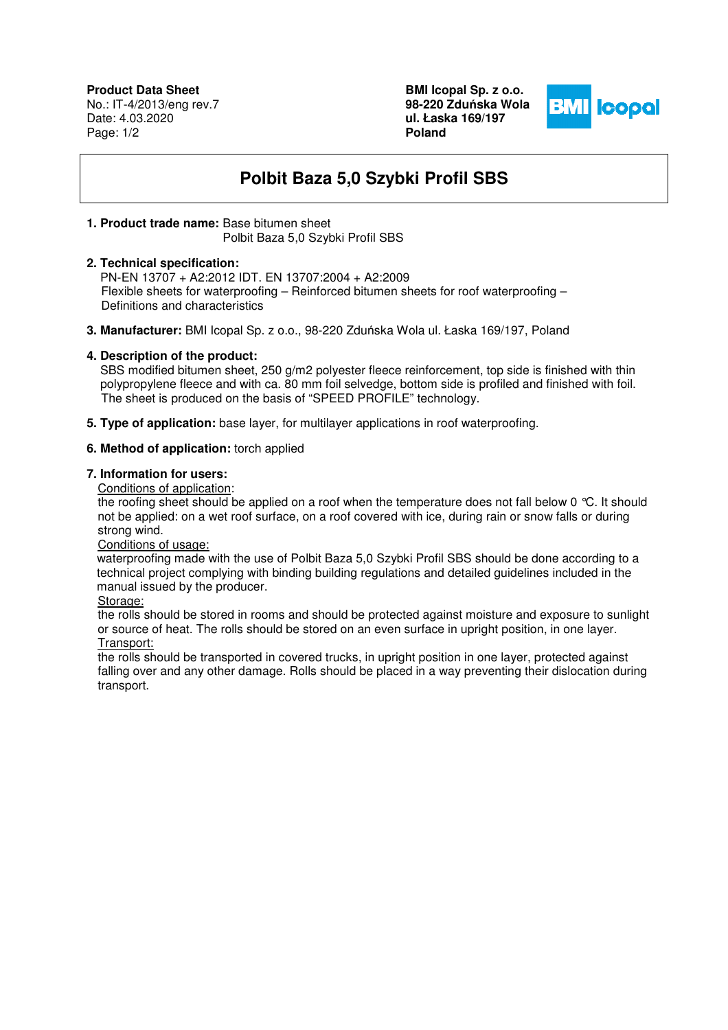**Product Data Sheet** No.: IT-4/2013/eng rev.7 Date: 4.03.2020 Page: 1/2

**BMI Icopal Sp. z o.o. 98-220 Zdu**ń**ska Wola ul. Łaska 169/197 Poland** 



# **Polbit Baza 5,0 Szybki Profil SBS**

# **1. Product trade name:** Base bitumen sheet

Polbit Baza 5,0 Szybki Profil SBS

#### **2. Technical specification:**

 PN-EN 13707 + A2:2012 IDT. EN 13707:2004 + A2:2009 Flexible sheets for waterproofing – Reinforced bitumen sheets for roof waterproofing – Definitions and characteristics

**3. Manufacturer:** BMI Icopal Sp. z o.o., 98-220 Zduńska Wola ul. Łaska 169/197, Poland

# **4. Description of the product:**

SBS modified bitumen sheet, 250 g/m2 polyester fleece reinforcement, top side is finished with thin polypropylene fleece and with ca. 80 mm foil selvedge, bottom side is profiled and finished with foil. The sheet is produced on the basis of "SPEED PROFILE" technology.

**5. Type of application:** base layer, for multilayer applications in roof waterproofing.

# **6. Method of application:** torch applied

# **7. Information for users:**

Conditions of application:

the roofing sheet should be applied on a roof when the temperature does not fall below 0 °C. It should not be applied: on a wet roof surface, on a roof covered with ice, during rain or snow falls or during strong wind.

Conditions of usage:

 waterproofing made with the use of Polbit Baza 5,0 Szybki Profil SBS should be done according to a technical project complying with binding building regulations and detailed guidelines included in the manual issued by the producer.

Storage:

the rolls should be stored in rooms and should be protected against moisture and exposure to sunlight or source of heat. The rolls should be stored on an even surface in upright position, in one layer. Transport:

the rolls should be transported in covered trucks, in upright position in one layer, protected against falling over and any other damage. Rolls should be placed in a way preventing their dislocation during transport.